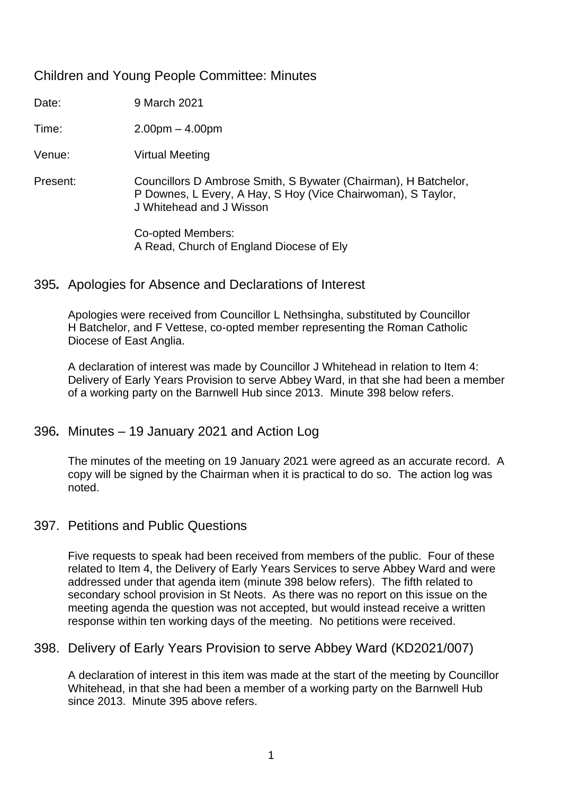## Children and Young People Committee: Minutes

Date: 9 March 2021

Time: 2.00pm – 4.00pm

Venue: Virtual Meeting

Present: Councillors D Ambrose Smith, S Bywater (Chairman), H Batchelor, P Downes, L Every, A Hay, S Hoy (Vice Chairwoman), S Taylor, J Whitehead and J Wisson

> Co-opted Members: A Read, Church of England Diocese of Ely

## 395*.* Apologies for Absence and Declarations of Interest

Apologies were received from Councillor L Nethsingha, substituted by Councillor H Batchelor, and F Vettese, co-opted member representing the Roman Catholic Diocese of East Anglia.

A declaration of interest was made by Councillor J Whitehead in relation to Item 4: Delivery of Early Years Provision to serve Abbey Ward, in that she had been a member of a working party on the Barnwell Hub since 2013. Minute 398 below refers.

## 396*.* Minutes – 19 January 2021 and Action Log

The minutes of the meeting on 19 January 2021 were agreed as an accurate record. A copy will be signed by the Chairman when it is practical to do so. The action log was noted.

## 397. Petitions and Public Questions

Five requests to speak had been received from members of the public. Four of these related to Item 4, the Delivery of Early Years Services to serve Abbey Ward and were addressed under that agenda item (minute 398 below refers). The fifth related to secondary school provision in St Neots. As there was no report on this issue on the meeting agenda the question was not accepted, but would instead receive a written response within ten working days of the meeting. No petitions were received.

## 398. Delivery of Early Years Provision to serve Abbey Ward (KD2021/007)

A declaration of interest in this item was made at the start of the meeting by Councillor Whitehead, in that she had been a member of a working party on the Barnwell Hub since 2013. Minute 395 above refers.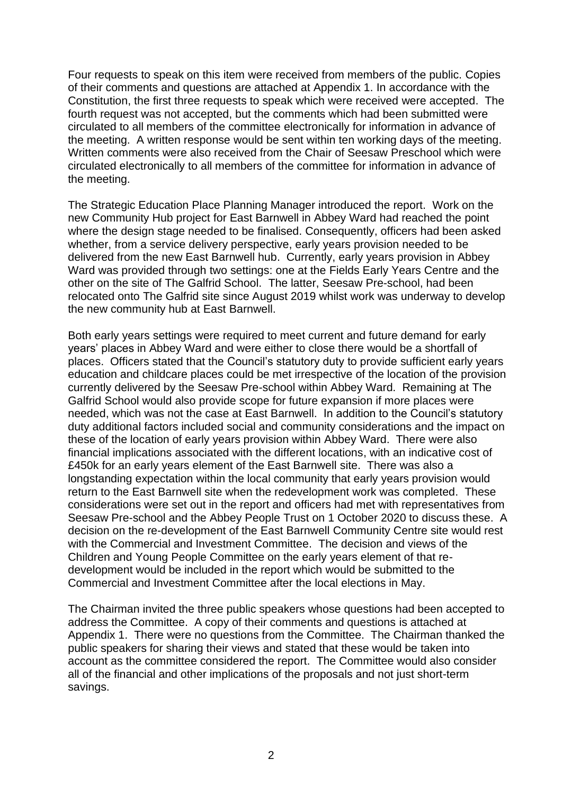Four requests to speak on this item were received from members of the public. Copies of their comments and questions are attached at Appendix 1. In accordance with the Constitution, the first three requests to speak which were received were accepted. The fourth request was not accepted, but the comments which had been submitted were circulated to all members of the committee electronically for information in advance of the meeting. A written response would be sent within ten working days of the meeting. Written comments were also received from the Chair of Seesaw Preschool which were circulated electronically to all members of the committee for information in advance of the meeting.

The Strategic Education Place Planning Manager introduced the report. Work on the new Community Hub project for East Barnwell in Abbey Ward had reached the point where the design stage needed to be finalised. Consequently, officers had been asked whether, from a service delivery perspective, early years provision needed to be delivered from the new East Barnwell hub. Currently, early years provision in Abbey Ward was provided through two settings: one at the Fields Early Years Centre and the other on the site of The Galfrid School. The latter, Seesaw Pre-school, had been relocated onto The Galfrid site since August 2019 whilst work was underway to develop the new community hub at East Barnwell.

Both early years settings were required to meet current and future demand for early years' places in Abbey Ward and were either to close there would be a shortfall of places. Officers stated that the Council's statutory duty to provide sufficient early years education and childcare places could be met irrespective of the location of the provision currently delivered by the Seesaw Pre-school within Abbey Ward. Remaining at The Galfrid School would also provide scope for future expansion if more places were needed, which was not the case at East Barnwell. In addition to the Council's statutory duty additional factors included social and community considerations and the impact on these of the location of early years provision within Abbey Ward. There were also financial implications associated with the different locations, with an indicative cost of £450k for an early years element of the East Barnwell site. There was also a longstanding expectation within the local community that early years provision would return to the East Barnwell site when the redevelopment work was completed. These considerations were set out in the report and officers had met with representatives from Seesaw Pre-school and the Abbey People Trust on 1 October 2020 to discuss these. A decision on the re-development of the East Barnwell Community Centre site would rest with the Commercial and Investment Committee. The decision and views of the Children and Young People Committee on the early years element of that redevelopment would be included in the report which would be submitted to the Commercial and Investment Committee after the local elections in May.

The Chairman invited the three public speakers whose questions had been accepted to address the Committee. A copy of their comments and questions is attached at Appendix 1. There were no questions from the Committee. The Chairman thanked the public speakers for sharing their views and stated that these would be taken into account as the committee considered the report. The Committee would also consider all of the financial and other implications of the proposals and not just short-term savings.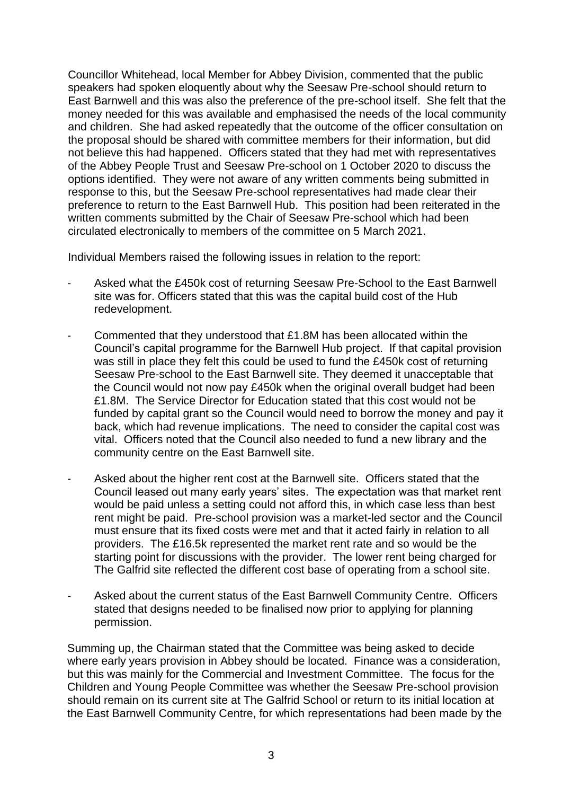Councillor Whitehead, local Member for Abbey Division, commented that the public speakers had spoken eloquently about why the Seesaw Pre-school should return to East Barnwell and this was also the preference of the pre-school itself. She felt that the money needed for this was available and emphasised the needs of the local community and children. She had asked repeatedly that the outcome of the officer consultation on the proposal should be shared with committee members for their information, but did not believe this had happened. Officers stated that they had met with representatives of the Abbey People Trust and Seesaw Pre-school on 1 October 2020 to discuss the options identified. They were not aware of any written comments being submitted in response to this, but the Seesaw Pre-school representatives had made clear their preference to return to the East Barnwell Hub. This position had been reiterated in the written comments submitted by the Chair of Seesaw Pre-school which had been circulated electronically to members of the committee on 5 March 2021.

Individual Members raised the following issues in relation to the report:

- Asked what the £450k cost of returning Seesaw Pre-School to the East Barnwell site was for. Officers stated that this was the capital build cost of the Hub redevelopment.
- Commented that they understood that £1.8M has been allocated within the Council's capital programme for the Barnwell Hub project. If that capital provision was still in place they felt this could be used to fund the £450k cost of returning Seesaw Pre-school to the East Barnwell site. They deemed it unacceptable that the Council would not now pay £450k when the original overall budget had been £1.8M. The Service Director for Education stated that this cost would not be funded by capital grant so the Council would need to borrow the money and pay it back, which had revenue implications. The need to consider the capital cost was vital. Officers noted that the Council also needed to fund a new library and the community centre on the East Barnwell site.
- Asked about the higher rent cost at the Barnwell site. Officers stated that the Council leased out many early years' sites. The expectation was that market rent would be paid unless a setting could not afford this, in which case less than best rent might be paid. Pre-school provision was a market-led sector and the Council must ensure that its fixed costs were met and that it acted fairly in relation to all providers. The £16.5k represented the market rent rate and so would be the starting point for discussions with the provider. The lower rent being charged for The Galfrid site reflected the different cost base of operating from a school site.
- Asked about the current status of the East Barnwell Community Centre. Officers stated that designs needed to be finalised now prior to applying for planning permission.

Summing up, the Chairman stated that the Committee was being asked to decide where early years provision in Abbey should be located. Finance was a consideration, but this was mainly for the Commercial and Investment Committee. The focus for the Children and Young People Committee was whether the Seesaw Pre-school provision should remain on its current site at The Galfrid School or return to its initial location at the East Barnwell Community Centre, for which representations had been made by the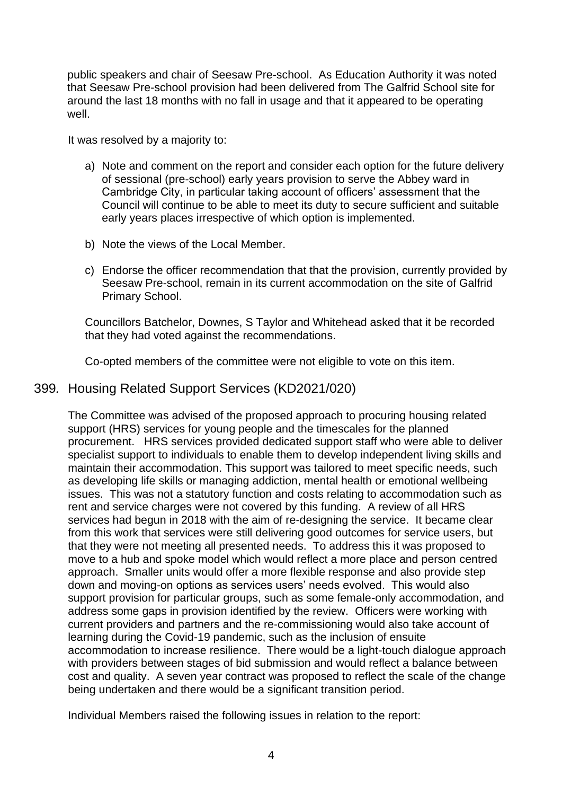public speakers and chair of Seesaw Pre-school. As Education Authority it was noted that Seesaw Pre-school provision had been delivered from The Galfrid School site for around the last 18 months with no fall in usage and that it appeared to be operating well.

It was resolved by a majority to:

- a) Note and comment on the report and consider each option for the future delivery of sessional (pre-school) early years provision to serve the Abbey ward in Cambridge City, in particular taking account of officers' assessment that the Council will continue to be able to meet its duty to secure sufficient and suitable early years places irrespective of which option is implemented.
- b) Note the views of the Local Member.
- c) Endorse the officer recommendation that that the provision, currently provided by Seesaw Pre-school, remain in its current accommodation on the site of Galfrid Primary School.

Councillors Batchelor, Downes, S Taylor and Whitehead asked that it be recorded that they had voted against the recommendations.

Co-opted members of the committee were not eligible to vote on this item.

## 399*.* Housing Related Support Services (KD2021/020)

The Committee was advised of the proposed approach to procuring housing related support (HRS) services for young people and the timescales for the planned procurement. HRS services provided dedicated support staff who were able to deliver specialist support to individuals to enable them to develop independent living skills and maintain their accommodation. This support was tailored to meet specific needs, such as developing life skills or managing addiction, mental health or emotional wellbeing issues. This was not a statutory function and costs relating to accommodation such as rent and service charges were not covered by this funding. A review of all HRS services had begun in 2018 with the aim of re-designing the service. It became clear from this work that services were still delivering good outcomes for service users, but that they were not meeting all presented needs. To address this it was proposed to move to a hub and spoke model which would reflect a more place and person centred approach. Smaller units would offer a more flexible response and also provide step down and moving-on options as services users' needs evolved. This would also support provision for particular groups, such as some female-only accommodation, and address some gaps in provision identified by the review. Officers were working with current providers and partners and the re-commissioning would also take account of learning during the Covid-19 pandemic, such as the inclusion of ensuite accommodation to increase resilience. There would be a light-touch dialogue approach with providers between stages of bid submission and would reflect a balance between cost and quality. A seven year contract was proposed to reflect the scale of the change being undertaken and there would be a significant transition period.

Individual Members raised the following issues in relation to the report: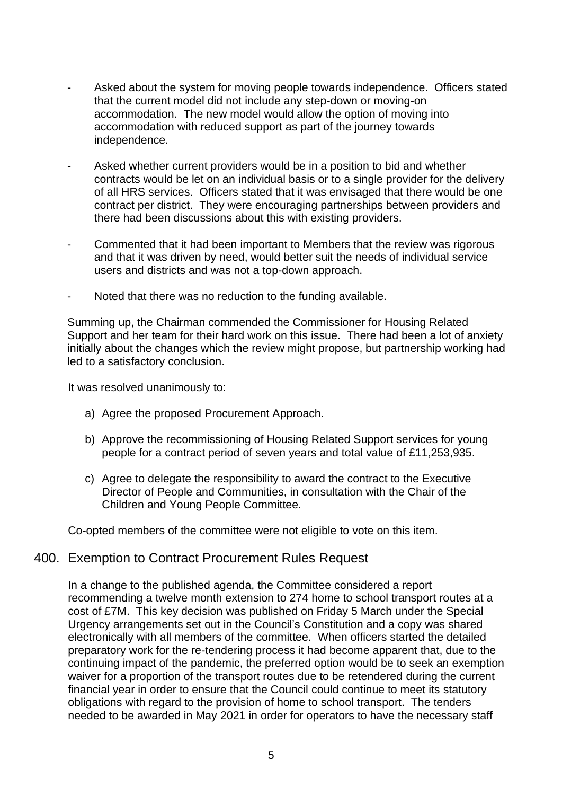- Asked about the system for moving people towards independence. Officers stated that the current model did not include any step-down or moving-on accommodation. The new model would allow the option of moving into accommodation with reduced support as part of the journey towards independence.
- Asked whether current providers would be in a position to bid and whether contracts would be let on an individual basis or to a single provider for the delivery of all HRS services. Officers stated that it was envisaged that there would be one contract per district. They were encouraging partnerships between providers and there had been discussions about this with existing providers.
- Commented that it had been important to Members that the review was rigorous and that it was driven by need, would better suit the needs of individual service users and districts and was not a top-down approach.
- Noted that there was no reduction to the funding available.

Summing up, the Chairman commended the Commissioner for Housing Related Support and her team for their hard work on this issue. There had been a lot of anxiety initially about the changes which the review might propose, but partnership working had led to a satisfactory conclusion.

It was resolved unanimously to:

- a) Agree the proposed Procurement Approach.
- b) Approve the recommissioning of Housing Related Support services for young people for a contract period of seven years and total value of £11,253,935.
- c) Agree to delegate the responsibility to award the contract to the Executive Director of People and Communities, in consultation with the Chair of the Children and Young People Committee.

Co-opted members of the committee were not eligible to vote on this item.

#### 400. Exemption to Contract Procurement Rules Request

In a change to the published agenda, the Committee considered a report recommending a twelve month extension to 274 home to school transport routes at a cost of £7M. This key decision was published on Friday 5 March under the Special Urgency arrangements set out in the Council's Constitution and a copy was shared electronically with all members of the committee. When officers started the detailed preparatory work for the re-tendering process it had become apparent that, due to the continuing impact of the pandemic, the preferred option would be to seek an exemption waiver for a proportion of the transport routes due to be retendered during the current financial year in order to ensure that the Council could continue to meet its statutory obligations with regard to the provision of home to school transport. The tenders needed to be awarded in May 2021 in order for operators to have the necessary staff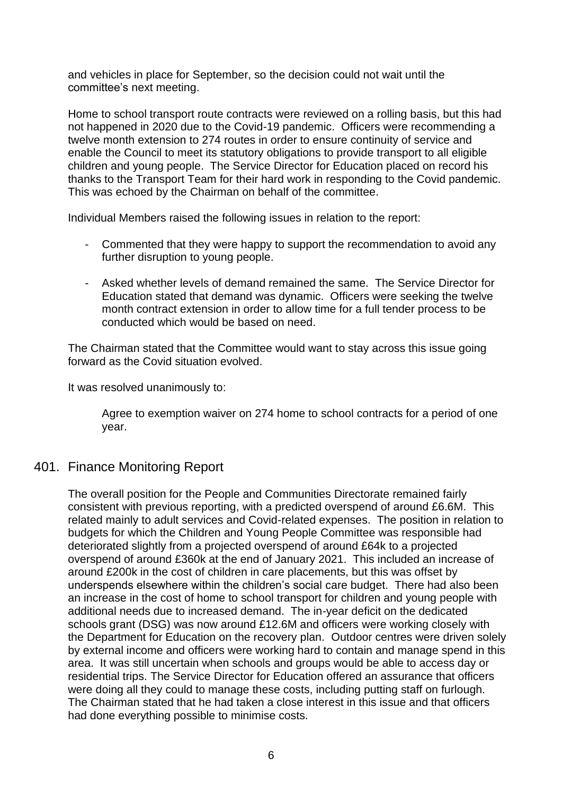and vehicles in place for September, so the decision could not wait until the committee's next meeting.

Home to school transport route contracts were reviewed on a rolling basis, but this had not happened in 2020 due to the Covid-19 pandemic. Officers were recommending a twelve month extension to 274 routes in order to ensure continuity of service and enable the Council to meet its statutory obligations to provide transport to all eligible children and young people. The Service Director for Education placed on record his thanks to the Transport Team for their hard work in responding to the Covid pandemic. This was echoed by the Chairman on behalf of the committee.

Individual Members raised the following issues in relation to the report:

- Commented that they were happy to support the recommendation to avoid any further disruption to young people.
- Asked whether levels of demand remained the same. The Service Director for Education stated that demand was dynamic. Officers were seeking the twelve month contract extension in order to allow time for a full tender process to be conducted which would be based on need.

The Chairman stated that the Committee would want to stay across this issue going forward as the Covid situation evolved.

It was resolved unanimously to:

Agree to exemption waiver on 274 home to school contracts for a period of one year.

## 401. Finance Monitoring Report

The overall position for the People and Communities Directorate remained fairly consistent with previous reporting, with a predicted overspend of around £6.6M. This related mainly to adult services and Covid-related expenses. The position in relation to budgets for which the Children and Young People Committee was responsible had deteriorated slightly from a projected overspend of around £64k to a projected overspend of around £360k at the end of January 2021. This included an increase of around £200k in the cost of children in care placements, but this was offset by underspends elsewhere within the children's social care budget. There had also been an increase in the cost of home to school transport for children and young people with additional needs due to increased demand. The in-year deficit on the dedicated schools grant (DSG) was now around £12.6M and officers were working closely with the Department for Education on the recovery plan. Outdoor centres were driven solely by external income and officers were working hard to contain and manage spend in this area. It was still uncertain when schools and groups would be able to access day or residential trips. The Service Director for Education offered an assurance that officers were doing all they could to manage these costs, including putting staff on furlough. The Chairman stated that he had taken a close interest in this issue and that officers had done everything possible to minimise costs.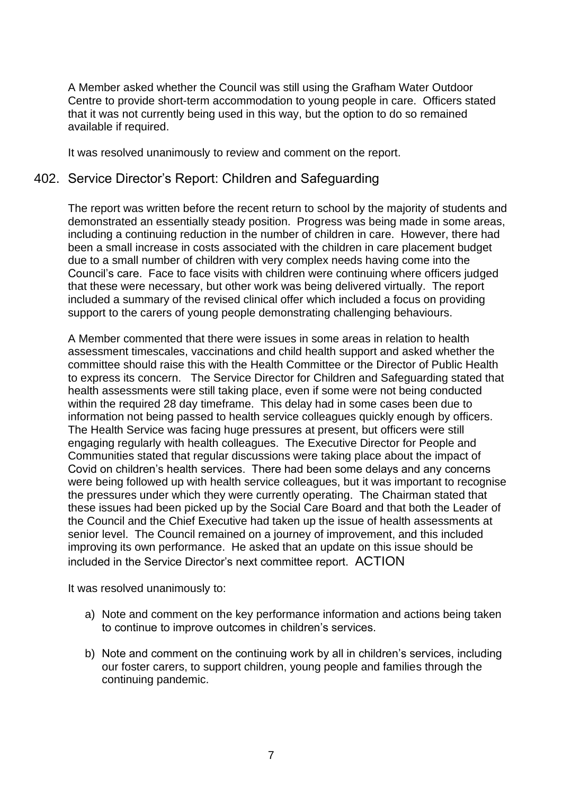A Member asked whether the Council was still using the Grafham Water Outdoor Centre to provide short-term accommodation to young people in care. Officers stated that it was not currently being used in this way, but the option to do so remained available if required.

It was resolved unanimously to review and comment on the report.

### 402. Service Director's Report: Children and Safeguarding

The report was written before the recent return to school by the majority of students and demonstrated an essentially steady position. Progress was being made in some areas, including a continuing reduction in the number of children in care. However, there had been a small increase in costs associated with the children in care placement budget due to a small number of children with very complex needs having come into the Council's care. Face to face visits with children were continuing where officers judged that these were necessary, but other work was being delivered virtually. The report included a summary of the revised clinical offer which included a focus on providing support to the carers of young people demonstrating challenging behaviours.

A Member commented that there were issues in some areas in relation to health assessment timescales, vaccinations and child health support and asked whether the committee should raise this with the Health Committee or the Director of Public Health to express its concern. The Service Director for Children and Safeguarding stated that health assessments were still taking place, even if some were not being conducted within the required 28 day timeframe. This delay had in some cases been due to information not being passed to health service colleagues quickly enough by officers. The Health Service was facing huge pressures at present, but officers were still engaging regularly with health colleagues. The Executive Director for People and Communities stated that regular discussions were taking place about the impact of Covid on children's health services. There had been some delays and any concerns were being followed up with health service colleagues, but it was important to recognise the pressures under which they were currently operating. The Chairman stated that these issues had been picked up by the Social Care Board and that both the Leader of the Council and the Chief Executive had taken up the issue of health assessments at senior level. The Council remained on a journey of improvement, and this included improving its own performance. He asked that an update on this issue should be included in the Service Director's next committee report. ACTION

It was resolved unanimously to:

- a) Note and comment on the key performance information and actions being taken to continue to improve outcomes in children's services.
- b) Note and comment on the continuing work by all in children's services, including our foster carers, to support children, young people and families through the continuing pandemic.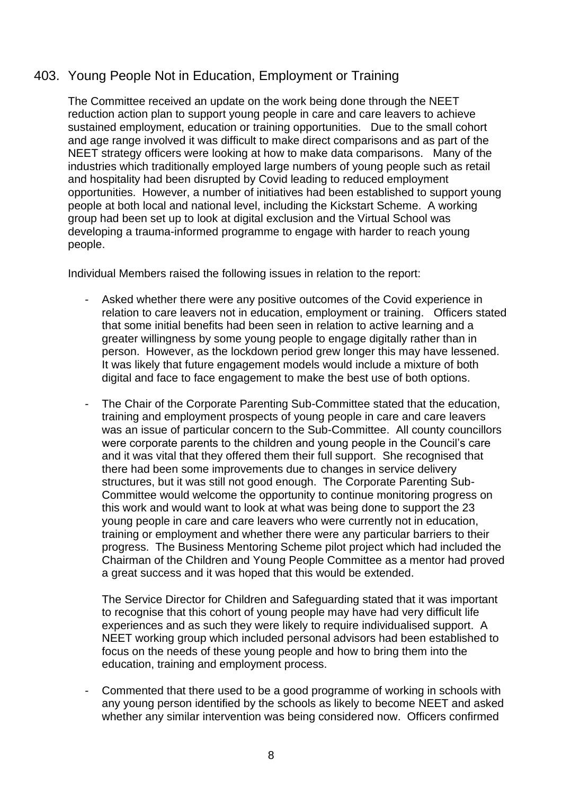# 403. Young People Not in Education, Employment or Training

The Committee received an update on the work being done through the NEET reduction action plan to support young people in care and care leavers to achieve sustained employment, education or training opportunities. Due to the small cohort and age range involved it was difficult to make direct comparisons and as part of the NEET strategy officers were looking at how to make data comparisons. Many of the industries which traditionally employed large numbers of young people such as retail and hospitality had been disrupted by Covid leading to reduced employment opportunities. However, a number of initiatives had been established to support young people at both local and national level, including the Kickstart Scheme. A working group had been set up to look at digital exclusion and the Virtual School was developing a trauma-informed programme to engage with harder to reach young people.

Individual Members raised the following issues in relation to the report:

- Asked whether there were any positive outcomes of the Covid experience in relation to care leavers not in education, employment or training. Officers stated that some initial benefits had been seen in relation to active learning and a greater willingness by some young people to engage digitally rather than in person. However, as the lockdown period grew longer this may have lessened. It was likely that future engagement models would include a mixture of both digital and face to face engagement to make the best use of both options.
- The Chair of the Corporate Parenting Sub-Committee stated that the education, training and employment prospects of young people in care and care leavers was an issue of particular concern to the Sub-Committee. All county councillors were corporate parents to the children and young people in the Council's care and it was vital that they offered them their full support. She recognised that there had been some improvements due to changes in service delivery structures, but it was still not good enough. The Corporate Parenting Sub-Committee would welcome the opportunity to continue monitoring progress on this work and would want to look at what was being done to support the 23 young people in care and care leavers who were currently not in education, training or employment and whether there were any particular barriers to their progress. The Business Mentoring Scheme pilot project which had included the Chairman of the Children and Young People Committee as a mentor had proved a great success and it was hoped that this would be extended.

The Service Director for Children and Safeguarding stated that it was important to recognise that this cohort of young people may have had very difficult life experiences and as such they were likely to require individualised support. A NEET working group which included personal advisors had been established to focus on the needs of these young people and how to bring them into the education, training and employment process.

- Commented that there used to be a good programme of working in schools with any young person identified by the schools as likely to become NEET and asked whether any similar intervention was being considered now. Officers confirmed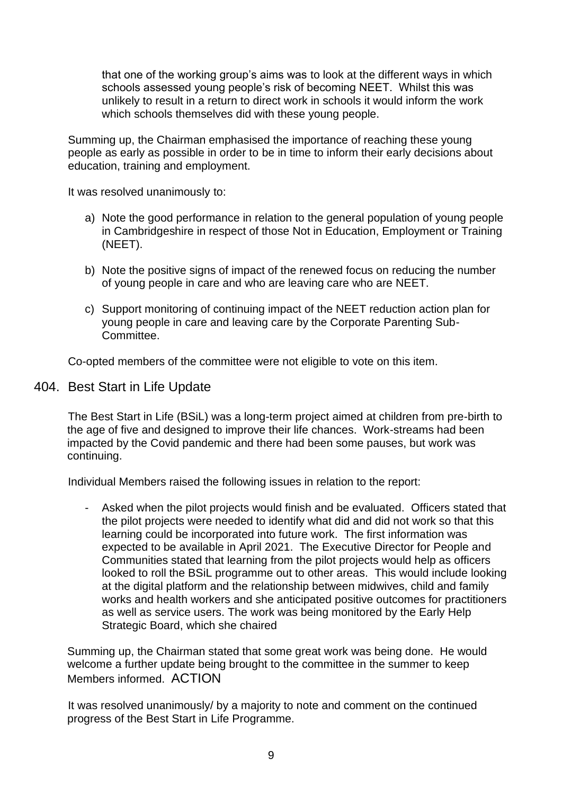that one of the working group's aims was to look at the different ways in which schools assessed young people's risk of becoming NEET. Whilst this was unlikely to result in a return to direct work in schools it would inform the work which schools themselves did with these young people.

Summing up, the Chairman emphasised the importance of reaching these young people as early as possible in order to be in time to inform their early decisions about education, training and employment.

It was resolved unanimously to:

- a) Note the good performance in relation to the general population of young people in Cambridgeshire in respect of those Not in Education, Employment or Training (NEET).
- b) Note the positive signs of impact of the renewed focus on reducing the number of young people in care and who are leaving care who are NEET.
- c) Support monitoring of continuing impact of the NEET reduction action plan for young people in care and leaving care by the Corporate Parenting Sub-Committee.

Co-opted members of the committee were not eligible to vote on this item.

#### 404. Best Start in Life Update

The Best Start in Life (BSiL) was a long-term project aimed at children from pre-birth to the age of five and designed to improve their life chances. Work-streams had been impacted by the Covid pandemic and there had been some pauses, but work was continuing.

Individual Members raised the following issues in relation to the report:

Asked when the pilot projects would finish and be evaluated. Officers stated that the pilot projects were needed to identify what did and did not work so that this learning could be incorporated into future work. The first information was expected to be available in April 2021. The Executive Director for People and Communities stated that learning from the pilot projects would help as officers looked to roll the BSiL programme out to other areas. This would include looking at the digital platform and the relationship between midwives, child and family works and health workers and she anticipated positive outcomes for practitioners as well as service users. The work was being monitored by the Early Help Strategic Board, which she chaired

Summing up, the Chairman stated that some great work was being done. He would welcome a further update being brought to the committee in the summer to keep Members informed. ACTION

It was resolved unanimously/ by a majority to note and comment on the continued progress of the Best Start in Life Programme.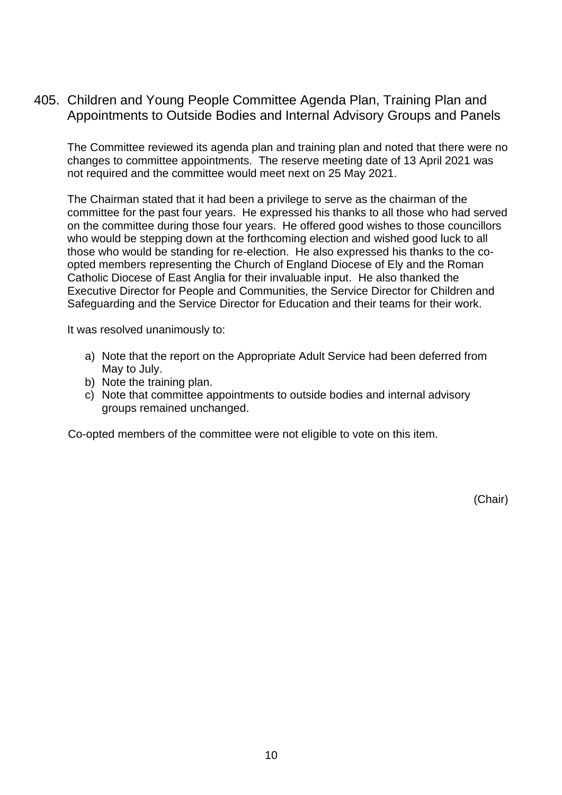405. Children and Young People Committee Agenda Plan, Training Plan and Appointments to Outside Bodies and Internal Advisory Groups and Panels

The Committee reviewed its agenda plan and training plan and noted that there were no changes to committee appointments. The reserve meeting date of 13 April 2021 was not required and the committee would meet next on 25 May 2021.

The Chairman stated that it had been a privilege to serve as the chairman of the committee for the past four years. He expressed his thanks to all those who had served on the committee during those four years. He offered good wishes to those councillors who would be stepping down at the forthcoming election and wished good luck to all those who would be standing for re-election. He also expressed his thanks to the coopted members representing the Church of England Diocese of Ely and the Roman Catholic Diocese of East Anglia for their invaluable input. He also thanked the Executive Director for People and Communities, the Service Director for Children and Safeguarding and the Service Director for Education and their teams for their work.

It was resolved unanimously to:

- a) Note that the report on the Appropriate Adult Service had been deferred from May to July.
- b) Note the training plan.
- c) Note that committee appointments to outside bodies and internal advisory groups remained unchanged.

Co-opted members of the committee were not eligible to vote on this item.

(Chair)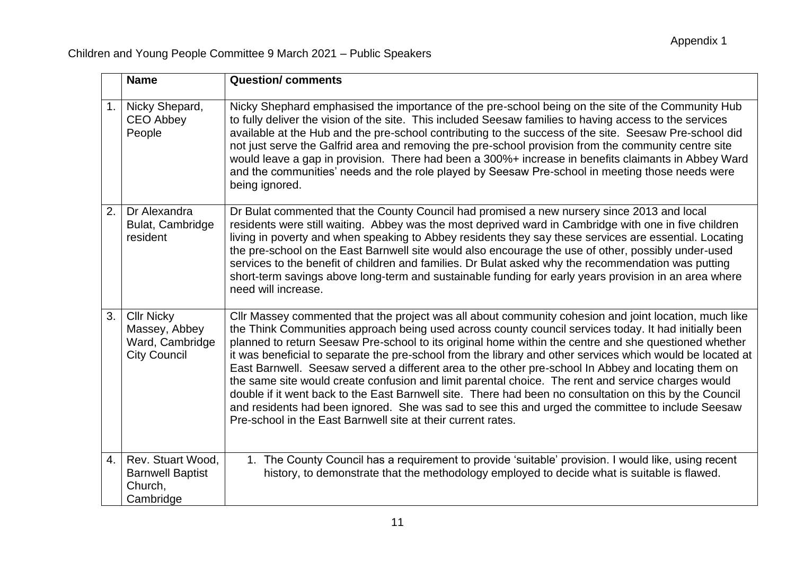|                  | <b>Name</b>                                                                  | <b>Question/comments</b>                                                                                                                                                                                                                                                                                                                                                                                                                                                                                                                                                                                                                                                                                                                                                                                                                                                                                                           |
|------------------|------------------------------------------------------------------------------|------------------------------------------------------------------------------------------------------------------------------------------------------------------------------------------------------------------------------------------------------------------------------------------------------------------------------------------------------------------------------------------------------------------------------------------------------------------------------------------------------------------------------------------------------------------------------------------------------------------------------------------------------------------------------------------------------------------------------------------------------------------------------------------------------------------------------------------------------------------------------------------------------------------------------------|
| 1.               | Nicky Shepard,<br><b>CEO Abbey</b><br>People                                 | Nicky Shephard emphasised the importance of the pre-school being on the site of the Community Hub<br>to fully deliver the vision of the site. This included Seesaw families to having access to the services<br>available at the Hub and the pre-school contributing to the success of the site. Seesaw Pre-school did<br>not just serve the Galfrid area and removing the pre-school provision from the community centre site<br>would leave a gap in provision. There had been a 300%+ increase in benefits claimants in Abbey Ward<br>and the communities' needs and the role played by Seesaw Pre-school in meeting those needs were<br>being ignored.                                                                                                                                                                                                                                                                         |
| 2.               | Dr Alexandra<br>Bulat, Cambridge<br>resident                                 | Dr Bulat commented that the County Council had promised a new nursery since 2013 and local<br>residents were still waiting. Abbey was the most deprived ward in Cambridge with one in five children<br>living in poverty and when speaking to Abbey residents they say these services are essential. Locating<br>the pre-school on the East Barnwell site would also encourage the use of other, possibly under-used<br>services to the benefit of children and families. Dr Bulat asked why the recommendation was putting<br>short-term savings above long-term and sustainable funding for early years provision in an area where<br>need will increase.                                                                                                                                                                                                                                                                        |
| 3.               | <b>Cllr Nicky</b><br>Massey, Abbey<br>Ward, Cambridge<br><b>City Council</b> | Cllr Massey commented that the project was all about community cohesion and joint location, much like<br>the Think Communities approach being used across county council services today. It had initially been<br>planned to return Seesaw Pre-school to its original home within the centre and she questioned whether<br>it was beneficial to separate the pre-school from the library and other services which would be located at<br>East Barnwell. Seesaw served a different area to the other pre-school In Abbey and locating them on<br>the same site would create confusion and limit parental choice. The rent and service charges would<br>double if it went back to the East Barnwell site. There had been no consultation on this by the Council<br>and residents had been ignored. She was sad to see this and urged the committee to include Seesaw<br>Pre-school in the East Barnwell site at their current rates. |
| $\overline{4}$ . | Rev. Stuart Wood,<br><b>Barnwell Baptist</b><br>Church,<br>Cambridge         | 1. The County Council has a requirement to provide 'suitable' provision. I would like, using recent<br>history, to demonstrate that the methodology employed to decide what is suitable is flawed.                                                                                                                                                                                                                                                                                                                                                                                                                                                                                                                                                                                                                                                                                                                                 |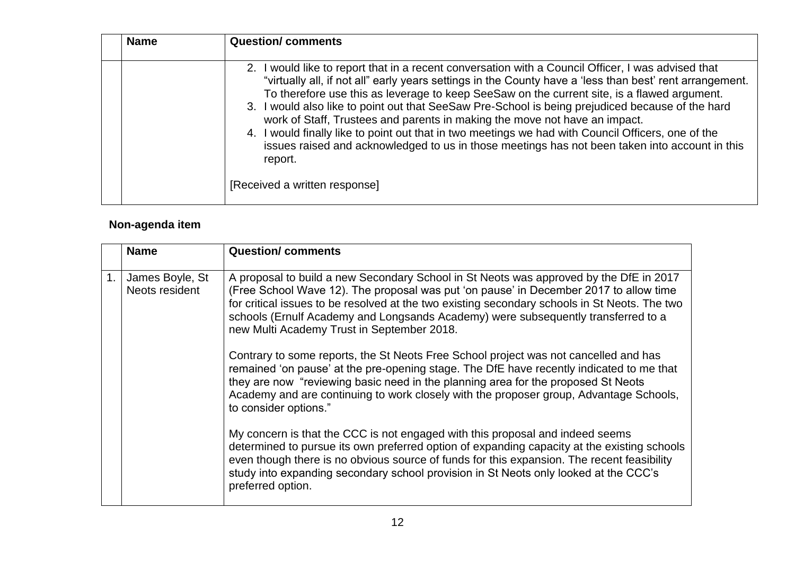| <b>Name</b> | <b>Question/comments</b>                                                                                                                                                                                                                                                                                                                                                                                                                                                                                                                                                                                                                                                                                                                            |  |
|-------------|-----------------------------------------------------------------------------------------------------------------------------------------------------------------------------------------------------------------------------------------------------------------------------------------------------------------------------------------------------------------------------------------------------------------------------------------------------------------------------------------------------------------------------------------------------------------------------------------------------------------------------------------------------------------------------------------------------------------------------------------------------|--|
|             | 2. I would like to report that in a recent conversation with a Council Officer, I was advised that<br>"virtually all, if not all" early years settings in the County have a 'less than best' rent arrangement.<br>To therefore use this as leverage to keep SeeSaw on the current site, is a flawed argument.<br>3. I would also like to point out that SeeSaw Pre-School is being prejudiced because of the hard<br>work of Staff, Trustees and parents in making the move not have an impact.<br>4. I would finally like to point out that in two meetings we had with Council Officers, one of the<br>issues raised and acknowledged to us in those meetings has not been taken into account in this<br>report.<br>[Received a written response] |  |
|             |                                                                                                                                                                                                                                                                                                                                                                                                                                                                                                                                                                                                                                                                                                                                                     |  |

# **Non-agenda item**

|    | <b>Name</b>                       | <b>Question/comments</b>                                                                                                                                                                                                                                                                                                                                                                                            |
|----|-----------------------------------|---------------------------------------------------------------------------------------------------------------------------------------------------------------------------------------------------------------------------------------------------------------------------------------------------------------------------------------------------------------------------------------------------------------------|
|    |                                   |                                                                                                                                                                                                                                                                                                                                                                                                                     |
| 1. | James Boyle, St<br>Neots resident | A proposal to build a new Secondary School in St Neots was approved by the DfE in 2017<br>(Free School Wave 12). The proposal was put 'on pause' in December 2017 to allow time<br>for critical issues to be resolved at the two existing secondary schools in St Neots. The two<br>schools (Ernulf Academy and Longsands Academy) were subsequently transferred to a<br>new Multi Academy Trust in September 2018. |
|    |                                   | Contrary to some reports, the St Neots Free School project was not cancelled and has<br>remained 'on pause' at the pre-opening stage. The DfE have recently indicated to me that<br>they are now "reviewing basic need in the planning area for the proposed St Neots<br>Academy and are continuing to work closely with the proposer group, Advantage Schools,<br>to consider options."                            |
|    |                                   | My concern is that the CCC is not engaged with this proposal and indeed seems<br>determined to pursue its own preferred option of expanding capacity at the existing schools<br>even though there is no obvious source of funds for this expansion. The recent feasibility<br>study into expanding secondary school provision in St Neots only looked at the CCC's<br>preferred option.                             |